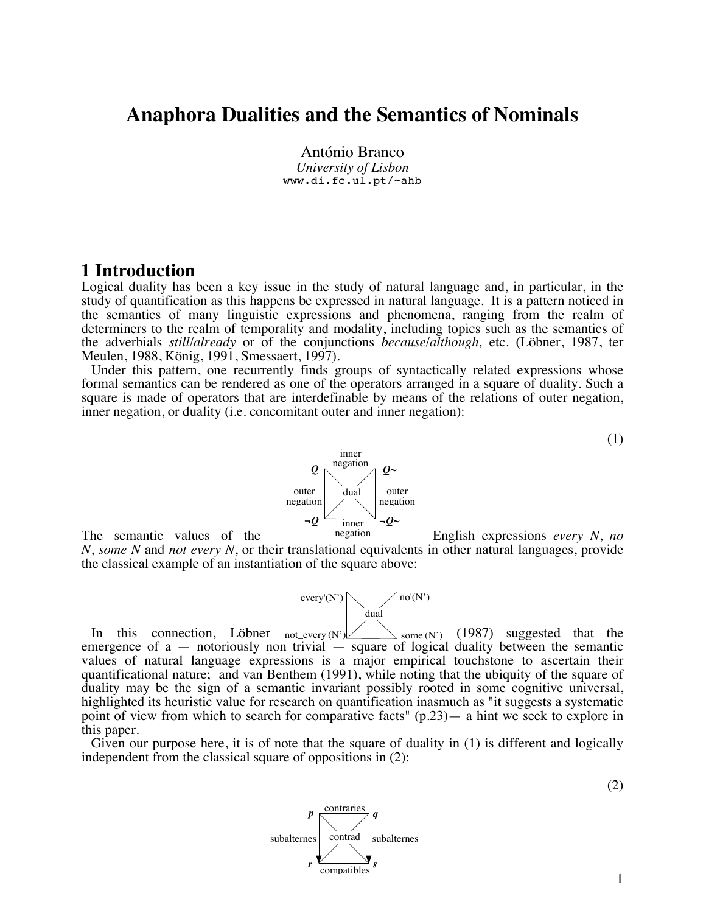# **Anaphora Dualities and the Semantics of Nominals**

António Branco *University of Lisbon* www.di.fc.ul.pt/~ahb

## **1 Introduction**

Logical duality has been a key issue in the study of natural language and, in particular, in the study of quantification as this happens be expressed in natural language. It is a pattern noticed in the semantics of many linguistic expressions and phenomena, ranging from the realm of determiners to the realm of temporality and modality, including topics such as the semantics of the adverbials *still*/*already* or of the conjunctions *because*/*although,* etc. (Löbner, 1987, ter Meulen, 1988, König, 1991, Smessaert, 1997).

Under this pattern, one recurrently finds groups of syntactically related expressions whose formal semantics can be rendered as one of the operators arranged in a square of duality. Such a square is made of operators that are interdefinable by means of the relations of outer negation, inner negation, or duality (i.e. concomitant outer and inner negation):



The semantic values of the <sup>negation</sup> English expressions *every N*, no *N*, *some N* and *not every N*, or their translational equivalents in other natural languages, provide the classical example of an instantiation of the square above:



In this connection, Löbner  $_{\text{not\_every'}(N')}$   $\swarrow$   $_{\text{some'}(N')}$  (1987) suggested that the emergence of  $a$  — notoriously non trivial — square of logical duality between the semantic values of natural language expressions is a major empirical touchstone to ascertain their quantificational nature; and van Benthem (1991), while noting that the ubiquity of the square of duality may be the sign of a semantic invariant possibly rooted in some cognitive universal, highlighted its heuristic value for research on quantification inasmuch as "it suggests a systematic point of view from which to search for comparative facts" (p.23)— a hint we seek to explore in this paper.  $\int$  some'(N') (1987) suggested that the

Given our purpose here, it is of note that the square of duality in (1) is different and logically independent from the classical square of oppositions in (2):

(2)

(1)

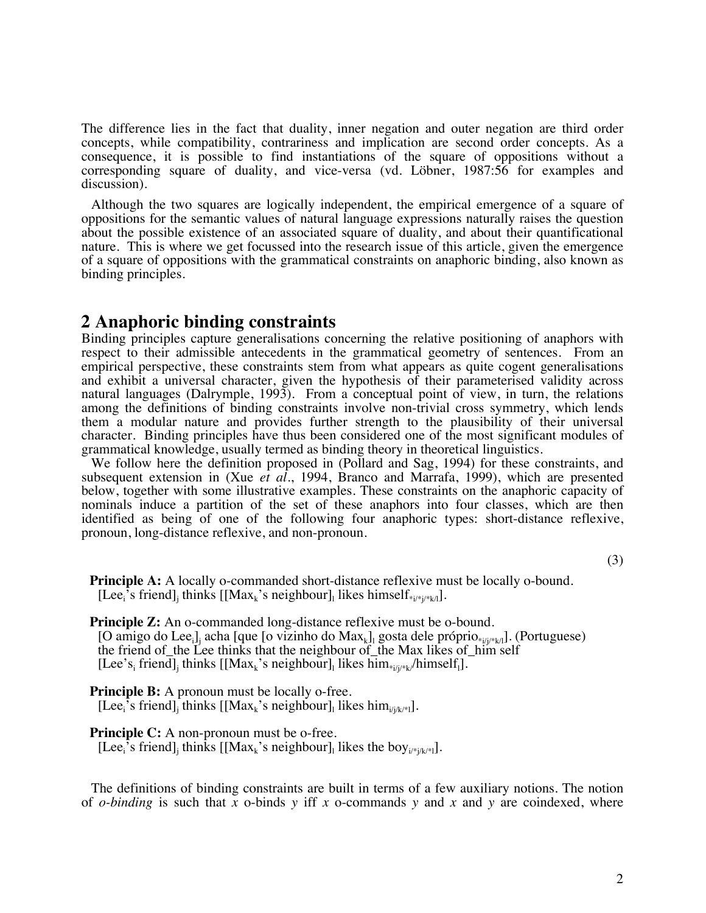The difference lies in the fact that duality, inner negation and outer negation are third order concepts, while compatibility, contrariness and implication are second order concepts. As a consequence, it is possible to find instantiations of the square of oppositions without a corresponding square of duality, and vice-versa (vd. Löbner, 1987:56 for examples and discussion).

Although the two squares are logically independent, the empirical emergence of a square of oppositions for the semantic values of natural language expressions naturally raises the question about the possible existence of an associated square of duality, and about their quantificational nature. This is where we get focussed into the research issue of this article, given the emergence of a square of oppositions with the grammatical constraints on anaphoric binding, also known as binding principles.

## **2 Anaphoric binding constraints**

Binding principles capture generalisations concerning the relative positioning of anaphors with respect to their admissible antecedents in the grammatical geometry of sentences. From an empirical perspective, these constraints stem from what appears as quite cogent generalisations and exhibit a universal character, given the hypothesis of their parameterised validity across natural languages (Dalrymple, 1993). From a conceptual point of view, in turn, the relations among the definitions of binding constraints involve non-trivial cross symmetry, which lends them a modular nature and provides further strength to the plausibility of their universal character. Binding principles have thus been considered one of the most significant modules of grammatical knowledge, usually termed as binding theory in theoretical linguistics.

We follow here the definition proposed in (Pollard and Sag, 1994) for these constraints, and subsequent extension in (Xue *et al.*, 1994, Branco and Marrafa, 1999), which are presented below, together with some illustrative examples. These constraints on the anaphoric capacity of nominals induce a partition of the set of these anaphors into four classes, which are then identified as being of one of the following four anaphoric types: short-distance reflexive, pronoun, long-distance reflexive, and non-pronoun.

(3)

**Principle A:** A locally o-commanded short-distance reflexive must be locally o-bound. [Lee<sub>i</sub>'s friend]<sub>j</sub> thinks [[Max<sub>k</sub>'s neighbour]<sub>l</sub> likes himself<sub>\*i/\*j/\*k/l</sub>].

**Principle Z:** An o-commanded long-distance reflexive must be o-bound. [O amigo do Lee<sub>i</sub>]<sub>j</sub> acha [que [o vizinho do Max<sub>k</sub>]<sub>l</sub> gosta dele próprio<sub>\*i/j\*k/l</sub>]. (Portuguese) the friend of\_the Lee thinks that the neighbour of\_the Max likes of\_him self [Lee's<sub>i</sub> friend]<sub>j</sub> thinks [[Max<sub>k</sub>'s neighbour]<sub>l</sub> likes him<sub>\*i/j\*k</sub>/himself<sub>1</sub>].

**Principle B:** A pronoun must be locally o-free. [Lee<sub>i</sub>'s friend]<sub>j</sub> thinks [[Max<sub>k</sub>'s neighbour]<sub>l</sub> likes him<sub>i/j/k/\*|</sub>].

**Principle C:** A non-pronoun must be o-free.

[Lee<sub>i</sub>'s friend]<sub>j</sub> thinks [[Max<sub>k</sub>'s neighbour]<sub>l</sub> likes the boy<sub>i/\*j/k/\*|]</sub>.

The definitions of binding constraints are built in terms of a few auxiliary notions. The notion of *o-binding* is such that *x* o-binds *y* iff *x* o-commands *y* and *x* and *y* are coindexed, where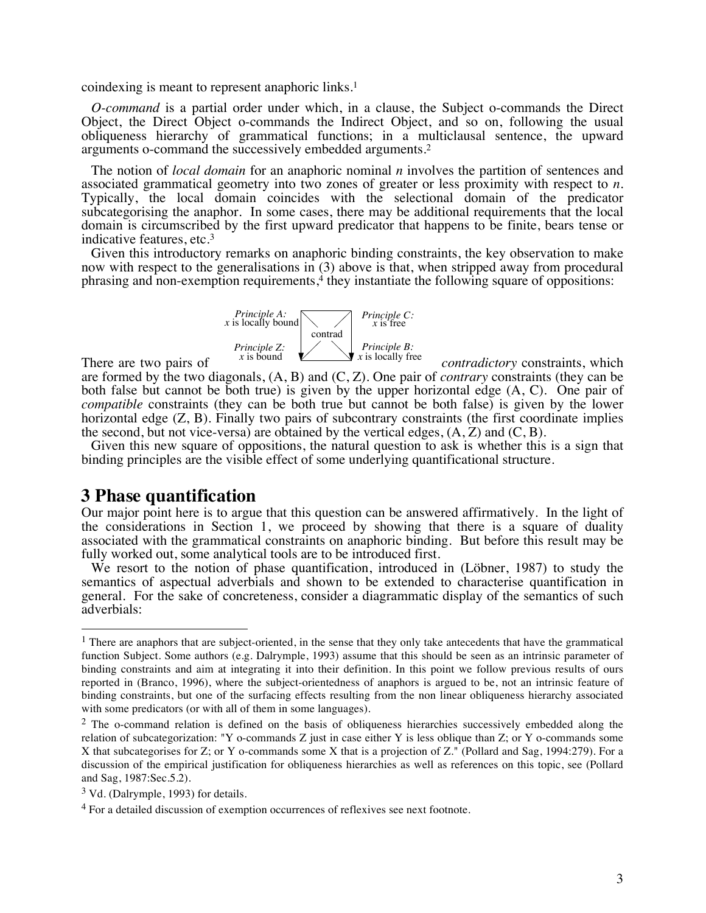coindexing is meant to represent anaphoric links.1

*O-command* is a partial order under which, in a clause, the Subject o-commands the Direct Object, the Direct Object o-commands the Indirect Object, and so on, following the usual obliqueness hierarchy of grammatical functions; in a multiclausal sentence, the upward arguments o-command the successively embedded arguments.2

The notion of *local domain* for an anaphoric nominal *n* involves the partition of sentences and associated grammatical geometry into two zones of greater or less proximity with respect to *n*. Typically, the local domain coincides with the selectional domain of the predicator subcategorising the anaphor. In some cases, there may be additional requirements that the local domain is circumscribed by the first upward predicator that happens to be finite, bears tense or indicative features, etc.3

Given this introductory remarks on anaphoric binding constraints, the key observation to make now with respect to the generalisations in (3) above is that, when stripped away from procedural phrasing and non-exemption requirements, $4$  they instantiate the following square of oppositions:



There are two pairs of  $\overline{X}$  is bound  $\overline{Y}$  as locally like contradictory constraints, which are formed by the two diagonals, (A, B) and (C, Z). One pair of *contrary* constraints (they can be both false but cannot be both true) is given by the upper horizontal edge (A, C). One pair of *compatible* constraints (they can be both true but cannot be both false) is given by the lower horizontal edge  $(Z, B)$ . Finally two pairs of subcontrary constraints (the first coordinate implies the second, but not vice-versa) are obtained by the vertical edges,  $(A, Z)$  and  $(C, B)$ .

Given this new square of oppositions, the natural question to ask is whether this is a sign that binding principles are the visible effect of some underlying quantificational structure.

## **3 Phase quantification**

Our major point here is to argue that this question can be answered affirmatively. In the light of the considerations in Section 1, we proceed by showing that there is a square of duality associated with the grammatical constraints on anaphoric binding. But before this result may be fully worked out, some analytical tools are to be introduced first.

We resort to the notion of phase quantification, introduced in (Löbner, 1987) to study the semantics of aspectual adverbials and shown to be extended to characterise quantification in general. For the sake of concreteness, consider a diagrammatic display of the semantics of such adverbials:

 $<sup>1</sup>$  There are anaphors that are subject-oriented, in the sense that they only take antecedents that have the grammatical</sup> function Subject. Some authors (e.g. Dalrymple, 1993) assume that this should be seen as an intrinsic parameter of binding constraints and aim at integrating it into their definition. In this point we follow previous results of ours reported in (Branco, 1996), where the subject-orientedness of anaphors is argued to be, not an intrinsic feature of binding constraints, but one of the surfacing effects resulting from the non linear obliqueness hierarchy associated with some predicators (or with all of them in some languages).

<sup>&</sup>lt;sup>2</sup> The o-command relation is defined on the basis of obliqueness hierarchies successively embedded along the relation of subcategorization: "Y o-commands Z just in case either Y is less oblique than Z; or Y o-commands some X that subcategorises for Z; or Y o-commands some X that is a projection of Z." (Pollard and Sag, 1994:279). For a discussion of the empirical justification for obliqueness hierarchies as well as references on this topic, see (Pollard and Sag, 1987:Sec.5.2).

<sup>3</sup> Vd. (Dalrymple, 1993) for details.

<sup>4</sup> For a detailed discussion of exemption occurrences of reflexives see next footnote.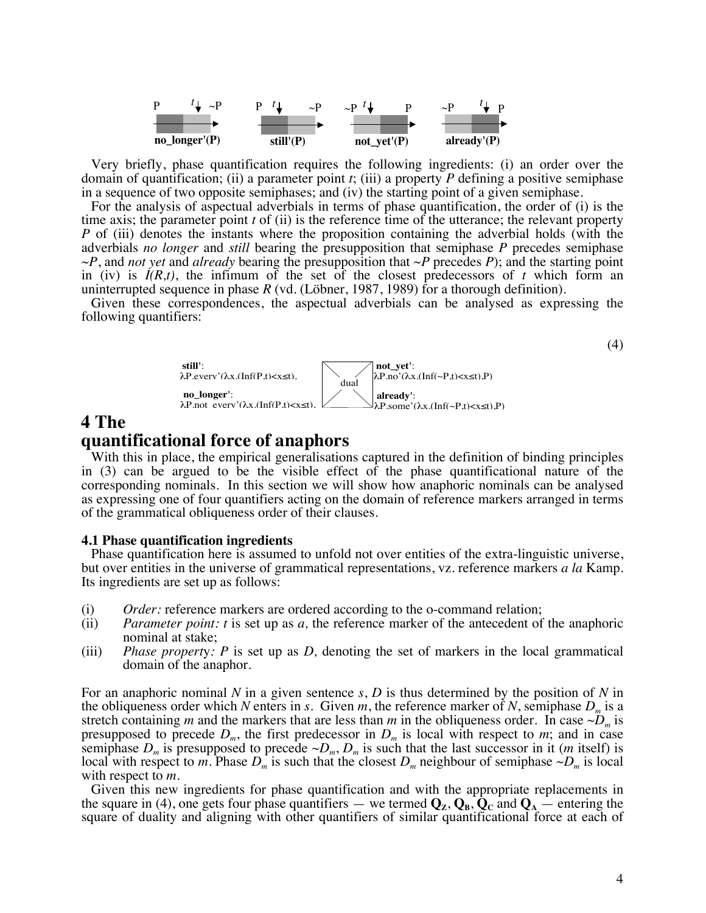

Very briefly, phase quantification requires the following ingredients: (i) an order over the domain of quantification; (ii) a parameter point *t*; (iii) a property *P* defining a positive semiphase in a sequence of two opposite semiphases; and (iv) the starting point of a given semiphase.

For the analysis of aspectual adverbials in terms of phase quantification, the order of (i) is the time axis; the parameter point *t* of (ii) is the reference time of the utterance; the relevant property *P* of (iii) denotes the instants where the proposition containing the adverbial holds (with the adverbials *no longer* and *still* bearing the presupposition that semiphase *P* precedes semiphase ~*P*, and *not yet* and *already* bearing the presupposition that ~*P* precedes *P*); and the starting point in (iv) is  $I(R,t)$ , the infimum of the set of the closest predecessors of  $t$  which form an uninterrupted sequence in phase *R* (vd. (Löbner, 1987, 1989) for a thorough definition).

Given these correspondences, the aspectual adverbials can be analysed as expressing the following quantifiers:



# **4 The quantificational force of anaphors**

With this in place, the empirical generalisations captured in the definition of binding principles in (3) can be argued to be the visible effect of the phase quantificational nature of the corresponding nominals. In this section we will show how anaphoric nominals can be analysed as expressing one of four quantifiers acting on the domain of reference markers arranged in terms of the grammatical obliqueness order of their clauses.

#### **4.1 Phase quantification ingredients**

Phase quantification here is assumed to unfold not over entities of the extra-linguistic universe, but over entities in the universe of grammatical representations, vz. reference markers *a la* Kamp. Its ingredients are set up as follows:

- (i) *Order:* reference markers are ordered according to the o-command relation;
- (ii) *Parameter point: t* is set up as *a,* the reference marker of the antecedent of the anaphoric nominal at stake;
- (iii) *Phase propert*y*: P* is set up as *D,* denoting the set of markers in the local grammatical domain of the anaphor.

For an anaphoric nominal *N* in a given sentence *s*, *D* is thus determined by the position of *N* in the obliqueness order which *N* enters in *s*. Given *m*, the reference marker of *N*, semiphase  $D_m$  is a stretch containing *m* and the markers that are less than *m* in the obliqueness order. In case  $\sim D_m$  is presupposed to precede  $D_m$ , the first predecessor in  $D_m$  is local with respect to *m*; and in case semiphase  $D_m$  is presupposed to precede  $\sim D_m$ ,  $D_m$  is such that the last successor in it (*m* itself) is local with respect to *m*. Phase  $D_m$  is such that the closest  $D_m$  neighbour of semiphase  $\sim D_m$  is local with respect to *m*.

Given this new ingredients for phase quantification and with the appropriate replacements in the square in (4), one gets four phase quantifiers — we termed  $Q_z$ ,  $Q_p$ ,  $Q_c$  and  $Q_A$  — entering the square of duality and aligning with other quantifiers of similar quantificational force at each of

(4)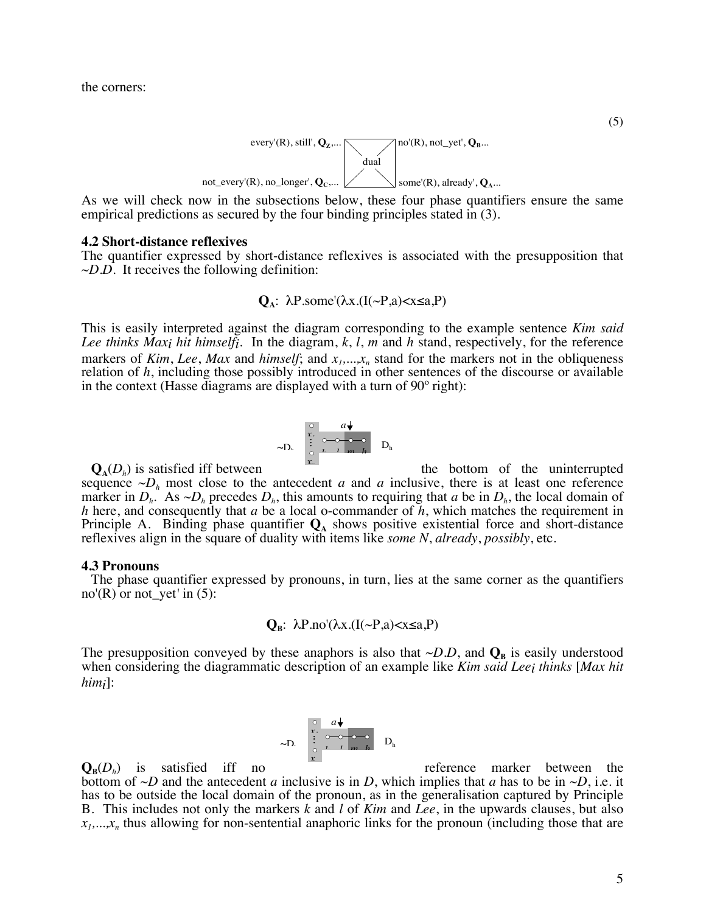the corners:



As we will check now in the subsections below, these four phase quantifiers ensure the same empirical predictions as secured by the four binding principles stated in (3).

#### **4.2 Short-distance reflexives**

The quantifier expressed by short-distance reflexives is associated with the presupposition that  $\sim$ *D.D.* It receives the following definition:

$$
Q_A: \ \lambda P.\text{some}^{\prime}(\lambda x. (I(\sim P,a) < x \le a, P)
$$

This is easily interpreted against the diagram corresponding to the example sentence *Kim said Lee thinks Maxi hit himselfi*. In the diagram, *k*, *l*, *m* and *h* stand, respectively, for the reference markers of *Kim*, *Lee*, *Max* and *himself*; and  $x_1, \ldots, x_n$  stand for the markers not in the obliqueness relation of *h*, including those possibly introduced in other sentences of the discourse or available in the context (Hasse diagrams are displayed with a turn of 90º right):

$$
\sim D. \quad \begin{array}{c} \circ \\ \circ \\ \circ \\ \circ \\ \circ \end{array} \quad \begin{array}{c} a \downarrow \\ \circ \\ \circ \\ \circ \\ \circ \end{array} \quad D_h
$$

 $\mathbf{Q}_{\mathbf{A}}(D_{h})$  is satisfied iff between the bottom of the uninterrupted sequence  $\neg D_h$  most close to the antecedent *a* and *a* inclusive, there is at least one reference marker in  $D_h$ . As  $\sim D_h$  precedes  $D_h$ , this amounts to requiring that *a* be in  $D_h$ , the local domain of *h* here, and consequently that *a* be a local o-commander of *h*, which matches the requirement in Principle A. Binding phase quantifier  $\mathbf{Q}_A$  shows positive existential force and short-distance reflexives align in the square of duality with items like *some N*, *already*, *possibly*, etc. *x*<sub>n</sub>

#### **4.3 Pronouns**

The phase quantifier expressed by pronouns, in turn, lies at the same corner as the quantifiers no'(R) or not\_yet*'* in (5):

$$
\mathbf{Q}_{\mathbf{B}}: \ \lambda P \text{.no}(\lambda x. (I(\sim P, a) < x \leq a. P)
$$

The presupposition conveyed by these anaphors is also that  $\sim D.D$ , and  $\mathbf{Q}_B$  is easily understood when considering the diagrammatic description of an example like *Kim said Leei thinks* [*Max hit himi*]:



 $\mathbf{Q}_{\mathbf{B}}(D_h)$  is satisfied iff no reference marker between the bottom of  $\neg D$  and the antecedent *a* inclusive is in *D*, which implies that *a* has to be in  $\neg D$ , i.e. it has to be outside the local domain of the pronoun, as in the generalisation captured by Principle B. This includes not only the markers *k* and *l* of *Kim* and *Lee*, in the upwards clauses, but also  $x_1, \ldots, x_n$  thus allowing for non-sentential anaphoric links for the pronoun (including those that are

(5)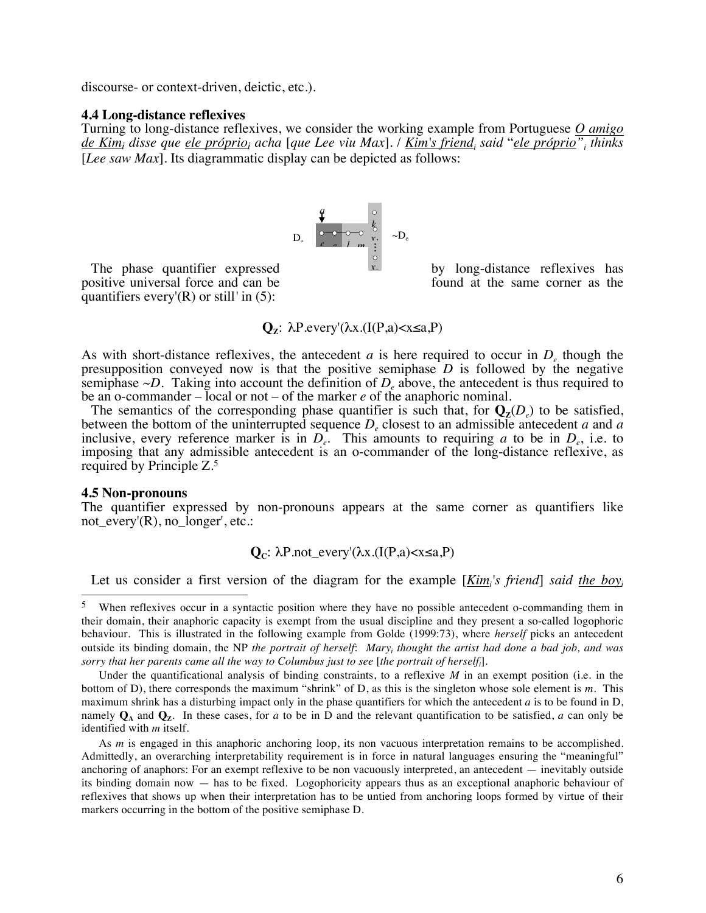discourse- or context-driven, deictic, etc.).

#### **4.4 Long-distance reflexives**

Turning to long-distance reflexives, we consider the working example from Portuguese *O amigo de Kimi disse que ele próprioi acha* [*que Lee viu Max*]*.* / *Kim's friendi said* "*ele próprio"i thinks*  [*Lee saw Max*]. Its diagrammatic display can be depicted as follows:

$$
D_{\circ} \quad \begin{array}{c}\n q \\
\hline\n \bullet \\
\hline\n 0 & \multicolumn{1}{c}\n \end{array}\n \quad\n \begin{array}{c}\n \circ \\
k \\
\circ \\
\circ \\
\hline\n 1 & m \\
\vdots \\
\circ \\
\circ \\
\circ\n \end{array}\n \quad \sim D_{e}
$$

positive universal force and can be found at the same corner as the quantifiers every'(R) or still*'* in (5):

The phase quantifier expressed  $\mathbf{r}$  by long-distance reflexives has

$$
Q_z: \lambda P.every'(\lambda x.(I(P,a) < x \le a,P)
$$

As with short-distance reflexives, the antecedent  $a$  is here required to occur in  $D<sub>e</sub>$  though the presupposition conveyed now is that the positive semiphase *D* is followed by the negative semiphase  $\neg D$ . Taking into account the definition of  $D_{\rho}$  above, the antecedent is thus required to be an o-commander – local or not – of the marker *e* of the anaphoric nominal.

The semantics of the corresponding phase quantifier is such that, for  $\mathbf{Q}_{z}(D_{e})$  to be satisfied, between the bottom of the uninterrupted sequence  $D<sub>e</sub>$  closest to an admissible antecedent  $a$  and  $a$ inclusive, every reference marker is in  $D_e^1$ . This amounts to requiring *a* to be in  $D_e$ , i.e. to imposing that any admissible antecedent is an o-commander of the long-distance reflexive, as required by Principle Z.5

#### **4.5 Non-pronouns**

The quantifier expressed by non-pronouns appears at the same corner as quantifiers like not every'(R), no longer', etc.:

### $Q<sub>C</sub>: λP.$ not\_every'(λx.(I(P,a)<x≤a,P)

Let us consider a first version of the diagram for the example [*Kimi 's friend*] *said the boyi*

<sup>&</sup>lt;sup>5</sup> When reflexives occur in a syntactic position where they have no possible antecedent o-commanding them in their domain, their anaphoric capacity is exempt from the usual discipline and they present a so-called logophoric behaviour. This is illustrated in the following example from Golde (1999:73), where *herself* picks an antecedent outside its binding domain, the NP *the portrait of herself*: *Maryi thought the artist had done a bad job, and was sorry that her parents came all the way to Columbus just to see* [*the portrait of herselfi* ].

Under the quantificational analysis of binding constraints, to a reflexive *M* in an exempt position (i.e. in the bottom of D), there corresponds the maximum "shrink" of D, as this is the singleton whose sole element is *m*. This maximum shrink has a disturbing impact only in the phase quantifiers for which the antecedent *a* is to be found in D, namely  $\mathbf{Q}_A$  and  $\mathbf{Q}_Z$ . In these cases, for *a* to be in D and the relevant quantification to be satisfied, *a* can only be identified with *m* itself.

As *m* is engaged in this anaphoric anchoring loop, its non vacuous interpretation remains to be accomplished. Admittedly, an overarching interpretability requirement is in force in natural languages ensuring the "meaningful" anchoring of anaphors: For an exempt reflexive to be non vacuously interpreted, an antecedent — inevitably outside its binding domain now — has to be fixed. Logophoricity appears thus as an exceptional anaphoric behaviour of reflexives that shows up when their interpretation has to be untied from anchoring loops formed by virtue of their markers occurring in the bottom of the positive semiphase D.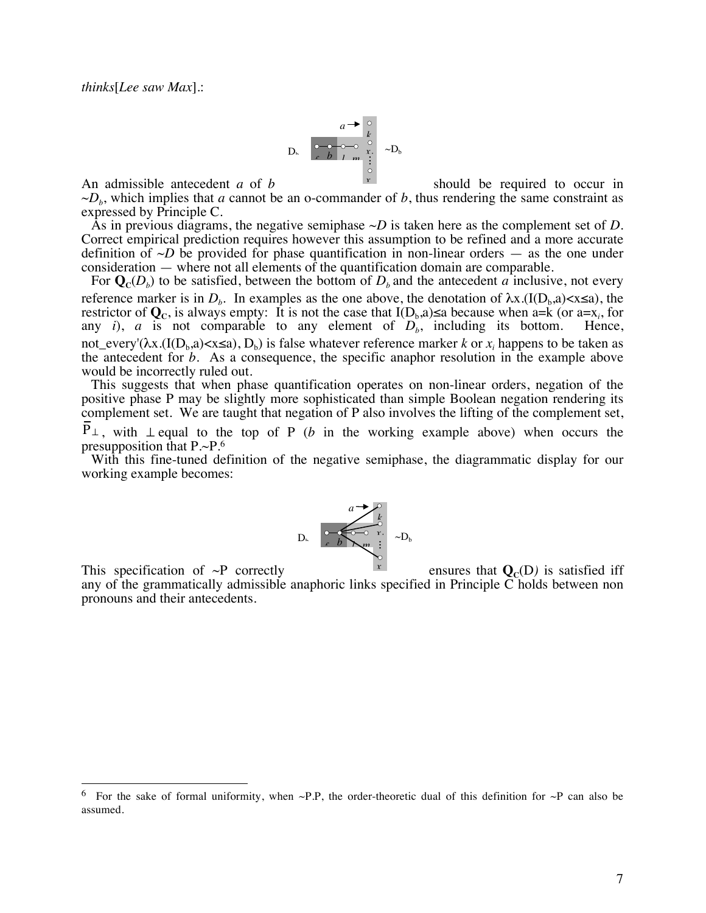

An admissible antecedent *a* of *b*  $\vert \cdot \vert$  should be required to occur in  $\neg D<sub>b</sub>$ , which implies that *a* cannot be an o-commander of *b*, thus rendering the same constraint as expressed by Principle C. *xn*

As in previous diagrams, the negative semiphase ~*D* is taken here as the complement set of *D*. Correct empirical prediction requires however this assumption to be refined and a more accurate definition of  $\sim D$  be provided for phase quantification in non-linear orders — as the one under consideration — where not all elements of the quantification domain are comparable.

For  $\mathbf{Q}_{c}(D_{b})$  to be satisfied, between the bottom of  $D_{b}$  and the antecedent *a* inclusive, not every reference marker is in  $D<sub>b</sub>$ . In examples as the one above, the denotation of  $\lambda x.(I(D<sub>b</sub>,a) < x \le a)$ , the restrictor of  $\mathbf{Q}_c$ , is always empty: It is not the case that  $I(D_b, a) \le a$  because when  $a = k$  (or  $a = x_i$ , for any  $i$ ,  $a$  is not comparable to any element of  $D_b$ , including its bottom. Hence, not\_every'( $\lambda x$ .(I( $D_b$ ,a)<x≤a),  $D_b$ ) is false whatever reference marker *k* or *x<sub>i</sub>* happens to be taken as the antecedent for *b*. As a consequence, the specific anaphor resolution in the example above would be incorrectly ruled out.

This suggests that when phase quantification operates on non-linear orders, negation of the positive phase P may be slightly more sophisticated than simple Boolean negation rendering its complement set. We are taught that negation of P also involves the lifting of the complement set, P<sup>⊥</sup>, with ⊥ equal to the top of P (*b* in the working example above) when occurs the

presupposition that P.~P.6

With this fine-tuned definition of the negative semiphase, the diagrammatic display for our working example becomes:



This specification of  $\sim$ P correctly ensures that  $\mathbf{Q}_c(D)$  is satisfied iff *xn*

any of the grammatically admissible anaphoric links specified in Principle  $\overline{C}$  holds between non pronouns and their antecedents.

<sup>&</sup>lt;sup>6</sup> For the sake of formal uniformity, when ~P.P, the order-theoretic dual of this definition for ~P can also be assumed.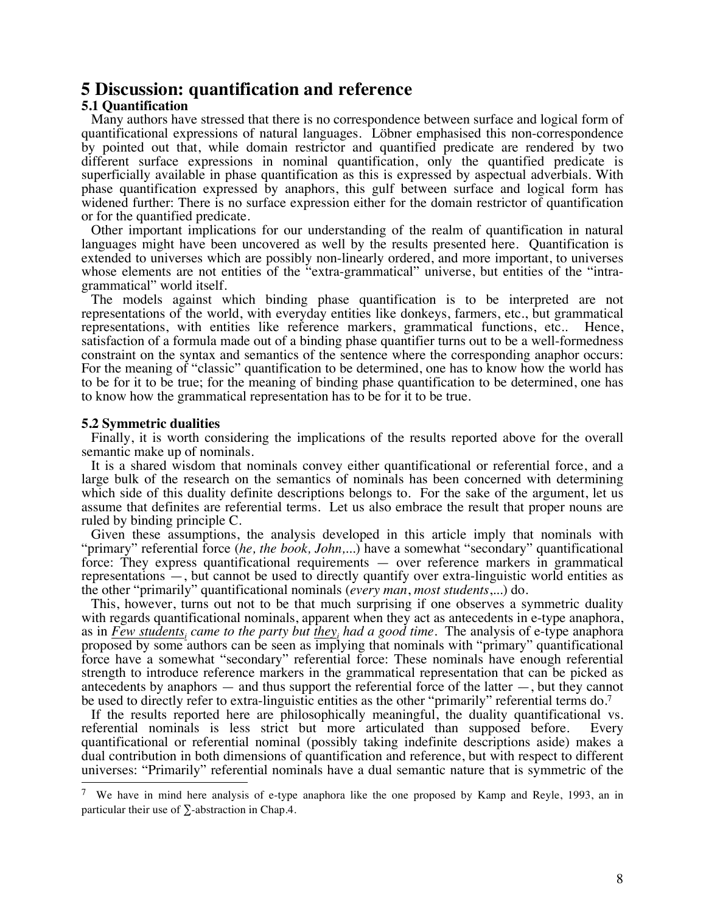### **5 Discussion: quantification and reference**

#### **5.1 Quantification**

Many authors have stressed that there is no correspondence between surface and logical form of quantificational expressions of natural languages. Löbner emphasised this non-correspondence by pointed out that, while domain restrictor and quantified predicate are rendered by two different surface expressions in nominal quantification, only the quantified predicate is superficially available in phase quantification as this is expressed by aspectual adverbials. With phase quantification expressed by anaphors, this gulf between surface and logical form has widened further: There is no surface expression either for the domain restrictor of quantification or for the quantified predicate.

Other important implications for our understanding of the realm of quantification in natural languages might have been uncovered as well by the results presented here. Quantification is extended to universes which are possibly non-linearly ordered, and more important, to universes whose elements are not entities of the "extra-grammatical" universe, but entities of the "intragrammatical" world itself.

The models against which binding phase quantification is to be interpreted are not representations of the world, with everyday entities like donkeys, farmers, etc., but grammatical representations, with entities like reference markers, grammatical functions, etc.. Hence, satisfaction of a formula made out of a binding phase quantifier turns out to be a well-formedness constraint on the syntax and semantics of the sentence where the corresponding anaphor occurs: For the meaning of "classic" quantification to be determined, one has to know how the world has to be for it to be true; for the meaning of binding phase quantification to be determined, one has to know how the grammatical representation has to be for it to be true.

#### **5.2 Symmetric dualities**

Finally, it is worth considering the implications of the results reported above for the overall semantic make up of nominals.

It is a shared wisdom that nominals convey either quantificational or referential force, and a large bulk of the research on the semantics of nominals has been concerned with determining which side of this duality definite descriptions belongs to. For the sake of the argument, let us assume that definites are referential terms. Let us also embrace the result that proper nouns are ruled by binding principle C.

Given these assumptions, the analysis developed in this article imply that nominals with "primary" referential force (*he, the book, John,*...) have a somewhat "secondary" quantificational force: They express quantificational requirements — over reference markers in grammatical representations —, but cannot be used to directly quantify over extra-linguistic world entities as the other "primarily" quantificational nominals (*every man*, *most students*,...) do.

This, however, turns out not to be that much surprising if one observes a symmetric duality with regards quantificational nominals, apparent when they act as antecedents in e-type anaphora, as in *Few students<sub>i</sub> came to the party but they<sub>i</sub> had a good time. The analysis of e-type anaphora* proposed by some authors can be seen as implying that nominals with "primary" quantificational force have a somewhat "secondary" referential force: These nominals have enough referential strength to introduce reference markers in the grammatical representation that can be picked as antecedents by anaphors — and thus support the referential force of the latter —, but they cannot be used to directly refer to extra-linguistic entities as the other "primarily" referential terms do.<sup>7</sup>

If the results reported here are philosophically meaningful, the duality quantificational vs. referential nominals is less strict but more articulated than supposed before. Every quantificational or referential nominal (possibly taking indefinite descriptions aside) makes a dual contribution in both dimensions of quantification and reference, but with respect to different universes: "Primarily" referential nominals have a dual semantic nature that is symmetric of the

 <sup>7</sup> We have in mind here analysis of e-type anaphora like the one proposed by Kamp and Reyle, 1993, an in particular their use of  $\Sigma$ -abstraction in Chap.4.